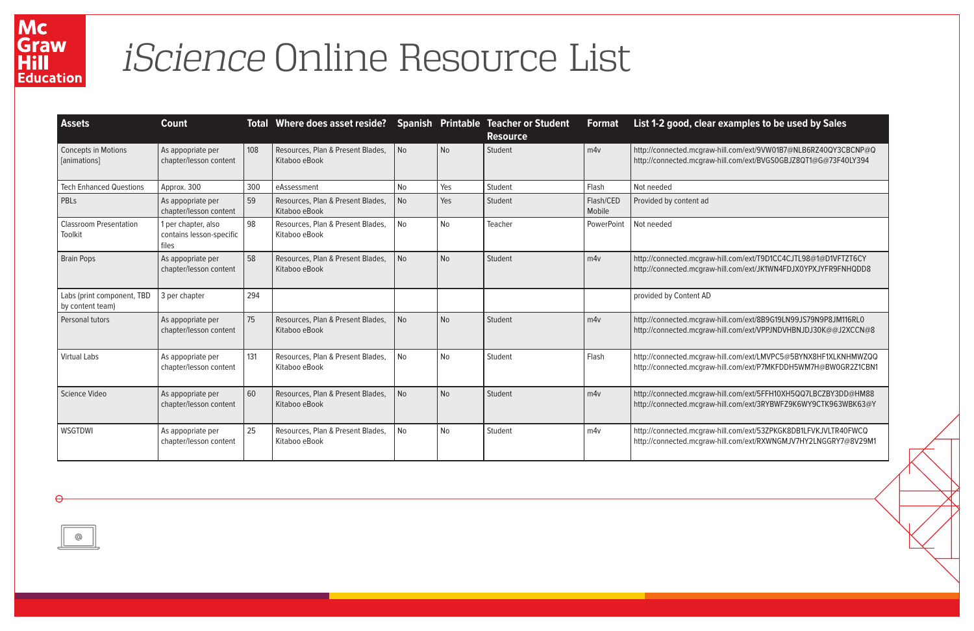## Mc<br>Graw<br>Hill<br>Education

## *iScience* Online Resource List

hill.com/ext/8B9G19LN99JS79N9P8JM116RL0 http://connected.mcgraw-hill.com/ext/VPPJNDVHBNJDJ30K@@J2XCCN@8

-hill.com/ext/LMVPC5@5BYNX8HF1XLKNHMWZQQ -hill.com/ext/P7MKFDDH5WM7H@BW0GR2Z1CBN1

hill.com/ext/5FFH10XH5QQ7LBCZBY3DD@HM88 hill.com/ext/3RYBWFZ9K6WY9CTK963WBK63@Y

hill.com/ext/53ZPKGK8DB1LFVKJVLTR40FWCQ -hill.com/ext/RXWNGMJV7HY2LNGGRY7@8V29M1

| <b>Assets</b>                                  | <b>Count</b>                                             |                                                           | Total Where does asset reside? Spanish Printable Teacher or Student |                                          |           | <b>Resource</b> | <b>Format</b>                                        | List 1-2 good, clear                                 |  |
|------------------------------------------------|----------------------------------------------------------|-----------------------------------------------------------|---------------------------------------------------------------------|------------------------------------------|-----------|-----------------|------------------------------------------------------|------------------------------------------------------|--|
| <b>Concepts in Motions</b><br>[animations]     | As appopriate per<br>chapter/lesson content              | 108<br>Resources, Plan & Present Blades,<br>Kitaboo eBook |                                                                     | <b>No</b>                                | <b>No</b> | Student         | m4v                                                  | http://connected.mcgraw-<br>http://connected.mcgraw- |  |
| <b>Tech Enhanced Questions</b>                 | Approx. 300                                              | 300                                                       | eAssessment                                                         | <b>No</b>                                | Yes       | Student         | Flash                                                | Not needed                                           |  |
| PBLs                                           | As appopriate per<br>chapter/lesson content              | 59                                                        | Resources, Plan & Present Blades,<br>Kitaboo eBook                  | <b>No</b>                                | Yes       | Student         | Flash/CED<br>Mobile                                  | Provided by content ad                               |  |
| <b>Classroom Presentation</b><br>Toolkit       | 1 per chapter, also<br>contains lesson-specific<br>files | 98                                                        | Resources, Plan & Present Blades,<br>Kitaboo eBook                  | <b>No</b>                                | <b>No</b> | Teacher         | PowerPoint                                           | Not needed                                           |  |
| <b>Brain Pops</b>                              | As appopriate per<br>chapter/lesson content              | 58                                                        | Resources, Plan & Present Blades,<br>Kitaboo eBook                  | <b>No</b>                                | <b>No</b> | Student         | m4v                                                  | http://connected.mcgraw-<br>http://connected.mcgraw- |  |
| Labs (print component, TBD<br>by content team) | 3 per chapter                                            | 294                                                       |                                                                     |                                          |           |                 |                                                      | provided by Content AD                               |  |
| Personal tutors                                | As appopriate per<br>chapter/lesson content              | 75                                                        | Resources, Plan & Present Blades,<br>Kitaboo eBook                  | <b>No</b>                                | <b>No</b> | Student         | m4v                                                  | http://connected.mcgraw-<br>http://connected.mcgraw- |  |
| <b>Virtual Labs</b>                            | As appopriate per<br>chapter/lesson content              | 131                                                       | Resources, Plan & Present Blades,<br>Kitaboo eBook                  | <b>No</b>                                | <b>No</b> | Student         | Flash                                                | http://connected.mcgraw-<br>http://connected.mcgraw- |  |
| Science Video                                  | As appopriate per<br>chapter/lesson content              | 60                                                        | Resources, Plan & Present Blades,<br>Kitaboo eBook                  | <b>No</b><br><b>No</b><br>Student<br>m4v |           |                 | http://connected.mcgraw-<br>http://connected.mcgraw- |                                                      |  |
| WSGTDWI                                        | As appopriate per<br>chapter/lesson content              | 25                                                        | Resources, Plan & Present Blades,<br>Kitaboo eBook                  | No                                       | <b>No</b> | Student         | m4v                                                  | http://connected.mcgraw-<br>http://connected.mcgraw- |  |



## **Examples to be used by Sales**

hill.com/ext/9VW01B7@NLB6RZ40QY3CBCNP@Q hill.com/ext/BVGS0GBJZ8QT1@G@73F40LY394

hill.com/ext/T9D1CC4CJTL98@1@D1VFTZT6CY hill.com/ext/JK1WN4FDJX0YPXJYFR9FNHQDD8